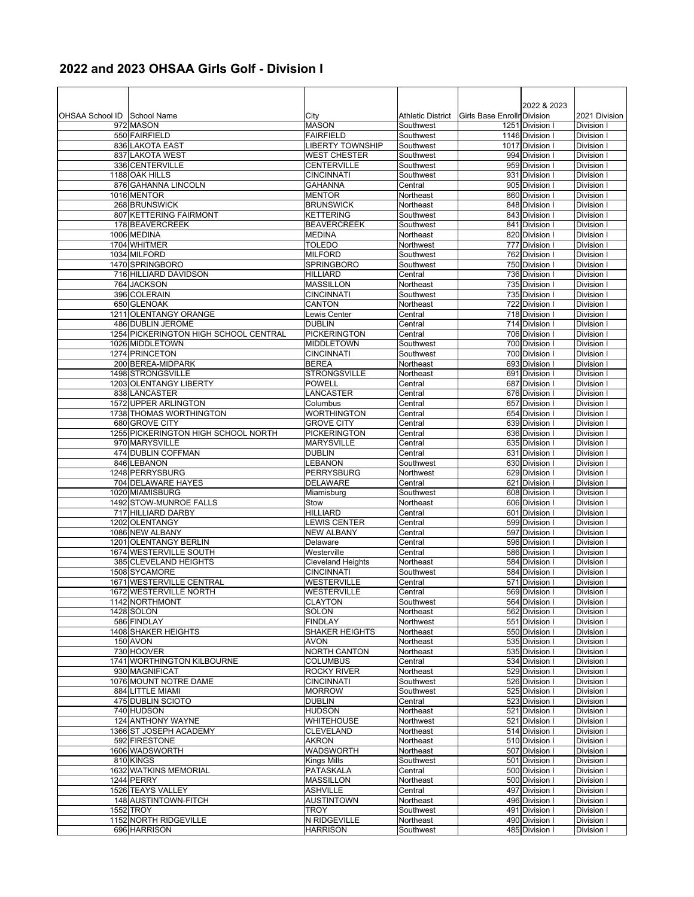## **2022 and 2023 OHSAA Girls Golf - Division I**

| OHSAA School ID School Name |                                                 | City                                      | <b>Athletic District</b> | Girls Base Enrollr Division | 2022 & 2023                      | 2021 Division            |
|-----------------------------|-------------------------------------------------|-------------------------------------------|--------------------------|-----------------------------|----------------------------------|--------------------------|
|                             | 972 MASON                                       | <b>MASON</b>                              | Southwest                |                             | 1251 Division                    | Division I               |
|                             | 550 FAIRFIELD                                   | <b>FAIRFIELD</b>                          | Southwest                |                             | 1146 Division                    | Division I               |
|                             | 836 LAKOTA EAST                                 | <b>LIBERTY TOWNSHIP</b>                   | Southwest                |                             | 1017 Division I                  | Division I               |
|                             | 837 LAKOTA WEST<br>336 CENTERVILLE              | <b>WEST CHESTER</b><br><b>CENTERVILLE</b> | Southwest<br>Southwest   |                             | 994 Division I<br>959 Division I | Division I<br>Division I |
|                             | 1188 OAK HILLS                                  | <b>CINCINNATI</b>                         | Southwest                |                             | 931 Division I                   | Division I               |
|                             | 876 GAHANNA LINCOLN                             | GAHANNA                                   | Central                  |                             | 905 Division I                   | Division I               |
|                             | 1016 MENTOR                                     | <b>MENTOR</b>                             | Northeast                |                             | 860 Division                     | Division I               |
|                             | 268 BRUNSWICK                                   | <b>BRUNSWICK</b>                          | Northeast                |                             | 848 Division I                   | Division I               |
|                             | 807 KETTERING FAIRMONT<br>178 BEAVERCREEK       | <b>KETTERING</b><br><b>BEAVERCREEK</b>    | Southwest<br>Southwest   |                             | 843 Division I<br>841 Division I | Division I<br>Division I |
|                             | 1006 MEDINA                                     | <b>MEDINA</b>                             | Northeast                |                             | 820 Division I                   | Division I               |
|                             | 1704 WHITMER                                    | TOLEDO                                    | Northwest                |                             | 777 Division                     | Division I               |
|                             | 1034 MILFORD                                    | <b>MILFORD</b>                            | Southwest                |                             | 762 Division I                   | Division I               |
|                             | 1470 SPRINGBORO                                 | <b>SPRINGBORO</b>                         | Southwest                |                             | 750 Division                     | Division I               |
|                             | 716 HILLIARD DAVIDSON<br>764 JACKSON            | <b>HILLIARD</b><br><b>MASSILLON</b>       | Central<br>Northeast     |                             | 736 Division I<br>735 Division I | Division I<br>Division I |
|                             | 396 COLERAIN                                    | <b>CINCINNATI</b>                         | Southwest                |                             | 735 Division I                   | Division I               |
|                             | 650 GLENOAK                                     | CANTON                                    | Northeast                |                             | 722 Division I                   | Division I               |
|                             | 1211 OLENTANGY ORANGE                           | Lewis Center                              | Central                  |                             | 718 Division                     | Division I               |
|                             | 486 DUBLIN JEROME                               | <b>DUBLIN</b>                             | Central                  |                             | 714 Division                     | Division I               |
|                             | 1254 PICKERINGTON HIGH SCHOOL CENTRAL           | <b>PICKERINGTON</b>                       | Central                  |                             | 706 Division I                   | Division I               |
|                             | 1026 MIDDLETOWN<br>1274 PRINCETON               | <b>MIDDLETOWN</b><br><b>CINCINNATI</b>    | Southwest<br>Southwest   |                             | 700 Division I<br>700 Division I | Division I<br>Division I |
|                             | 200 BEREA-MIDPARK                               | <b>BEREA</b>                              | Northeast                |                             | 693 Division                     | Division I               |
|                             | 1498 STRONGSVILLE                               | <b>STRONGSVILLE</b>                       | Northeast                |                             | 691 Division                     | Division I               |
|                             | 1203 OLENTANGY LIBERTY                          | <b>POWELL</b>                             | Central                  |                             | 687 Division I                   | Division I               |
|                             | 838 LANCASTER                                   | LANCASTER                                 | Central                  |                             | 676 Division I                   | Division I               |
|                             | 1572 UPPER ARLINGTON<br>1738 THOMAS WORTHINGTON | Columbus<br><b>WORTHINGTON</b>            | Central<br>Central       |                             | 657 Division                     | Division I               |
|                             | 680 GROVE CITY                                  | <b>GROVE CITY</b>                         | Central                  |                             | 654 Division I<br>639 Division I | Division I<br>Division I |
|                             | 1255 PICKERINGTON HIGH SCHOOL NORTH             | <b>PICKERINGTON</b>                       | Central                  |                             | 636 Division                     | Division I               |
|                             | 970 MARYSVILLE                                  | <b>MARYSVILLE</b>                         | Central                  |                             | 635 Division I                   | Division I               |
|                             | 474 DUBLIN COFFMAN                              | <b>DUBLIN</b>                             | Central                  |                             | 631 Division I                   | Division I               |
|                             | 846 LEBANON<br>1248 PERRYSBURG                  | <b>LEBANON</b><br><b>PERRYSBURG</b>       | Southwest                |                             | 630 Division I                   | Division I               |
|                             | 704 DELAWARE HAYES                              | <b>DELAWARE</b>                           | Northwest<br>Central     |                             | 629 Division I<br>621 Division I | Division I<br>Division I |
|                             | 1020 MIAMISBURG                                 | Miamisburg                                | Southwest                |                             | 608 Division I                   | Division I               |
|                             | 1492 STOW-MUNROE FALLS                          | Stow                                      | Northeast                |                             | 606 Division                     | Division I               |
|                             | 717 HILLIARD DARBY                              | <b>HILLIARD</b>                           | Central                  |                             | 601 Division I                   | Division I               |
|                             | 1202 OLENTANGY<br>1086 NEW ALBANY               | <b>LEWIS CENTER</b>                       | Central                  |                             | 599 Division                     | Division I               |
|                             | 1201 OLENTANGY BERLIN                           | <b>NEW ALBANY</b><br>Delaware             | Central<br>Central       |                             | 597 Division I<br>596 Division I | Division I<br>Division I |
|                             | 1674 WESTERVILLE SOUTH                          | Westerville                               | Central                  |                             | 586 Division I                   | Division I               |
|                             | 385 CLEVELAND HEIGHTS                           | <b>Cleveland Heights</b>                  | Northeast                |                             | 584 Division I                   | Division I               |
|                             | 1508 SYCAMORE                                   | <b>CINCINNATI</b>                         | Southwest                |                             | 584 Division I                   | Division I               |
|                             | 1671 WESTERVILLE CENTRAL                        | <b>WESTERVILLE</b>                        | Central                  |                             | 571 Division I                   | Division I               |
|                             | 1672 WESTERVILLE NORTH<br>1142 NORTHMONT        | <b>WESTERVILLE</b><br><b>CLAYTON</b>      | Central<br>Southwest     |                             | 569 Division I<br>564 Division I | Division I<br>Division I |
|                             | <b>1428 SOLON</b>                               | SOLON                                     | Northeast                |                             | 562 Division I                   | Division I               |
|                             | 586 FINDLAY                                     | <b>FINDLAY</b>                            | Northwest                |                             | 551 Division                     | Division I               |
|                             | 1408 SHAKER HEIGHTS                             | <b>SHAKER HEIGHTS</b>                     | Northeast                |                             | 550 Division                     | Division I               |
|                             | 150 AVON                                        | <b>AVON</b>                               | Northeast                |                             | 535 Division I                   | Division I               |
|                             | 730 HOOVER<br>1741 WORTHINGTON KILBOURNE        | <b>NORTH CANTON</b><br><b>COLUMBUS</b>    | Northeast<br>Central     |                             | 535 Division I<br>534 Division I | Division I<br>Division I |
|                             | 930 MAGNIFICAT                                  | <b>ROCKY RIVER</b>                        | Northeast                |                             | 529 Division I                   | Division I               |
|                             | 1076 MOUNT NOTRE DAME                           | <b>CINCINNATI</b>                         | Southwest                |                             | 526 Division I                   | Division I               |
|                             | 884 LITTLE MIAMI                                | <b>MORROW</b>                             | Southwest                |                             | 525 Division I                   | Division I               |
|                             | 475 DUBLIN SCIOTO                               | <b>DUBLIN</b>                             | Central                  |                             | 523 Division I                   | Division I               |
|                             | 740 HUDSON                                      | <b>HUDSON</b>                             | Northeast                |                             | 521 Division I                   | Division I               |
|                             | 124 ANTHONY WAYNE<br>1366 ST JOSEPH ACADEMY     | <b>WHITEHOUSE</b><br><b>CLEVELAND</b>     | Northwest<br>Northeast   |                             | 521 Division I<br>514 Division I | Division I<br>Division I |
|                             | 592 FIRESTONE                                   | AKRON                                     | Northeast                |                             | 510 Division                     | Division I               |
|                             | 1606 WADSWORTH                                  | WADSWORTH                                 | Northeast                |                             | 507 Division I                   | Division I               |
|                             | 810 KINGS                                       | Kings Mills                               | Southwest                |                             | 501 Division I                   | Division I               |
|                             | <b>1632 WATKINS MEMORIAL</b>                    | <b>PATASKALA</b>                          | Central                  |                             | 500 Division I                   | Division I               |
|                             | 1244 PERRY                                      | <b>MASSILLON</b>                          | Northeast                |                             | 500 Division I                   | Division I               |
|                             | 1526 TEAYS VALLEY<br>148 AUSTINTOWN-FITCH       | ASHVILLE<br>AUSTINTOWN                    | Central<br>Northeast     |                             | 497 Division I<br>496 Division I | Division I<br>Division I |
|                             | 1552 TROY                                       | TROY                                      | Southwest                |                             | 491 Division I                   | Division I               |
|                             | 1152 NORTH RIDGEVILLE                           | N RIDGEVILLE                              | Northeast                |                             | 490 Division I                   | Division I               |
|                             | 696 HARRISON                                    | <b>HARRISON</b>                           | Southwest                |                             | 485 Division I                   | Division I               |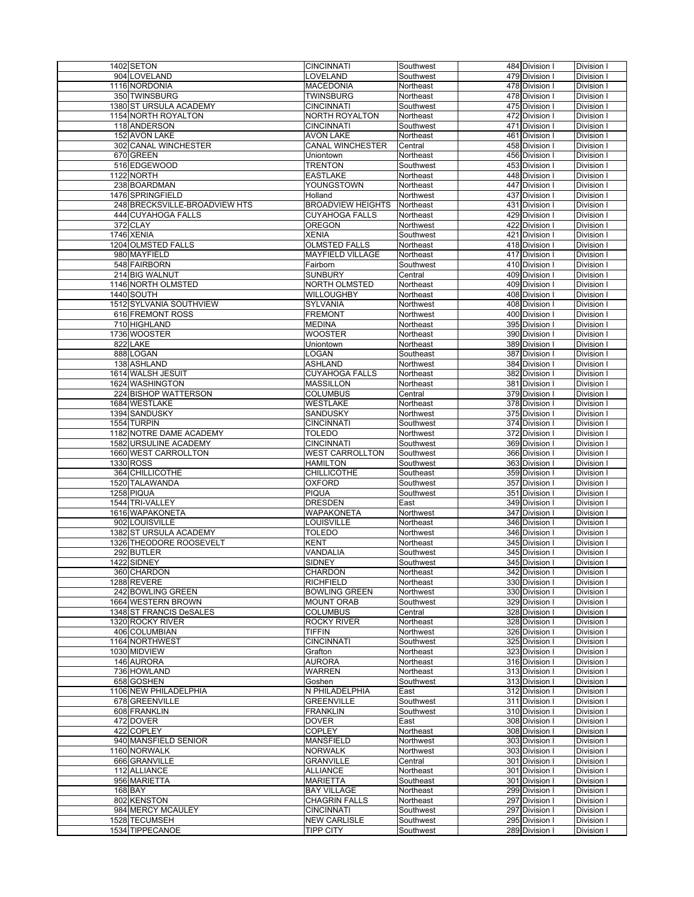| 1402 SETON                       | <b>CINCINNATI</b>                       | Southwest              | 484 Division I                   | Division I               |
|----------------------------------|-----------------------------------------|------------------------|----------------------------------|--------------------------|
| 904 LOVELAND                     | LOVELAND                                | Southwest              | 479 Division I                   | Division I               |
|                                  |                                         |                        |                                  |                          |
| 1116 NORDONIA                    | <b>MACEDONIA</b>                        | Northeast              | 478 Division I                   | Division I               |
| 350 TWINSBURG                    | <b>TWINSBURG</b>                        | Northeast              | 478 Division I                   | Division I               |
| 1380 ST URSULA ACADEMY           | <b>CINCINNATI</b>                       | Southwest              | 475 Division I                   | Division I               |
| 1154 NORTH ROYALTON              | NORTH ROYALTON                          | Northeast              | 472 Division                     | Division I               |
| 118 ANDERSON                     | <b>CINCINNATI</b>                       | Southwest              | 471 Division I                   | Division I               |
| 152 AVON LAKE                    | <b>AVON LAKE</b>                        | Northeast              | 461 Division I                   | Division I               |
|                                  |                                         |                        |                                  |                          |
| 302 CANAL WINCHESTER             | <b>CANAL WINCHESTER</b>                 | Central                | 458 Division I                   | Division I               |
| 670 GREEN                        | Uniontown                               | Northeast              | 456 Division I                   | Division I               |
| 516 EDGEWOOD                     | <b>TRENTON</b>                          | Southwest              | 453 Division I                   | Division I               |
| 1122 NORTH                       | <b>EASTLAKE</b>                         | Northeast              | 448 Division I                   | Division I               |
| 238 BOARDMAN                     | YOUNGSTOWN                              | Northeast              | 447 Division I                   | Division I               |
| 1476 SPRINGFIELD                 | Holland                                 | Northwest              |                                  |                          |
|                                  |                                         |                        | 437 Division I                   | Division I               |
| 248 BRECKSVILLE-BROADVIEW HTS    | <b>BROADVIEW HEIGHTS</b>                | Northeast              | 431 Division I                   | Division I               |
| 444 CUYAHOGA FALLS               | <b>CUYAHOGA FALLS</b>                   | Northeast              | 429 Division I                   | Division I               |
| 372 CLAY                         | OREGON                                  | Northwest              | 422 Division                     | Division I               |
| 1746 XENIA                       | <b>XENIA</b>                            | Southwest              | 421 Division I                   | Division I               |
| 1204 OLMSTED FALLS               | <b>OLMSTED FALLS</b>                    | Northeast              | 418 Division I                   | Division I               |
|                                  |                                         |                        |                                  |                          |
| 980 MAYFIELD                     | <b>MAYFIELD VILLAGE</b>                 | Northeast              | 417 Division I                   | Division I               |
| 548 FAIRBORN                     | Fairborn                                | Southwest              | 410 Division I                   | Division I               |
| 214 BIG WALNUT                   | <b>SUNBURY</b>                          | Central                | 409 Division I                   | Division I               |
| 1146 NORTH OLMSTED               | NORTH OLMSTED                           | Northeast              | 409 Division I                   | Division I               |
| 1440 SOUTH                       | WILLOUGHBY                              | Northeast              | 408 Division I                   | Division I               |
|                                  |                                         |                        |                                  |                          |
| 1512 SYLVANIA SOUTHVIEW          | SYLVANIA                                | Northwest              | 408 Division I                   | Division I               |
| 616 FREMONT ROSS                 | <b>FREMONT</b>                          | Northwest              | 400 Division I                   | Division I               |
| 710 HIGHLAND                     | <b>MEDINA</b>                           | Northeast              | 395 Division I                   | Division I               |
| 1736 WOOSTER                     | <b>WOOSTER</b>                          | Northeast              | 390 Division I                   | Division I               |
| 822 LAKE                         | Uniontown                               | Northeast              | 389 Division                     | Division I               |
|                                  |                                         |                        |                                  |                          |
| 888 LOGAN                        | LOGAN                                   | Southeast              | 387 Division I                   | Division I               |
| 138 ASHLAND                      | <b>ASHLAND</b>                          | Northwest              | 384 Division                     | Division I               |
| 1614 WALSH JESUIT                | <b>CUYAHOGA FALLS</b>                   | Northeast              | 382 Division I                   | Division I               |
| 1624 WASHINGTON                  | <b>MASSILLON</b>                        | Northeast              | 381 Division I                   | Division I               |
| 224 BISHOP WATTERSON             | <b>COLUMBUS</b>                         | Central                | 379 Division I                   | Division I               |
| 1684 WESTLAKE                    |                                         |                        |                                  |                          |
|                                  | WESTLAKE                                | Northeast              | 378 Division I                   | Division I               |
| 1394 SANDUSKY                    | SANDUSKY                                | Northwest              | 375 Division I                   | Division I               |
| 1554 TURPIN                      | <b>CINCINNATI</b>                       | Southwest              | 374 Division I                   | Division I               |
| 1182 NOTRE DAME ACADEMY          | <b>TOLEDO</b>                           | Northwest              | 372 Division I                   | Division I               |
| 1582 URSULINE ACADEMY            | <b>CINCINNATI</b>                       | Southwest              |                                  | Division I               |
|                                  |                                         |                        |                                  |                          |
|                                  |                                         |                        | 369 Division I                   |                          |
| 1660 WEST CARROLLTON             | <b>WEST CARROLLTON</b>                  | Southwest              | 366 Division I                   | Division I               |
| 1330 ROSS                        | <b>HAMILTON</b>                         | Southwest              | 363 Division I                   | Division I               |
| 364 CHILLICOTHE                  | <b>CHILLICOTHE</b>                      | Southeast              | 359 Division I                   | Division I               |
| 1520 TALAWANDA                   | <b>OXFORD</b>                           | Southwest              | 357 Division                     | Division I               |
|                                  |                                         |                        |                                  |                          |
| 1258 PIQUA                       | <b>PIQUA</b>                            | Southwest              | 351 Division I                   | Division I               |
| 1544 TRI-VALLEY                  | <b>DRESDEN</b>                          | East                   | 349 Division                     | Division I               |
| 1616 WAPAKONETA                  | WAPAKONETA                              | Northwest              | 347 Division I                   | Division I               |
| 902 LOUISVILLE                   | LOUISVILLE                              | Northeast              | 346 Division I                   | Division I               |
| 1382 ST URSULA ACADEMY           | <b>TOLEDO</b>                           | Northwest              | 346 Division I                   | Division I               |
| 1326 THEODORE ROOSEVELT          | <b>KENT</b>                             | Northeast              | 345 Division I                   |                          |
|                                  | VANDALIA                                |                        | 345 Division I                   | Division I               |
| 292 BUTLER                       |                                         | Southwest              |                                  | Division I               |
| 1422 SIDNEY                      | <b>SIDNEY</b>                           | Southwest              | 345 Division I                   | Division I               |
| 360 CHARDON                      | CHARDON                                 | Northeast              | 342 Division I                   | Division I               |
| 1288 REVERE                      | <b>RICHFIELD</b>                        | Northeast              | 330 Division I                   | Division I               |
| 242 BOWLING GREEN                | <b>BOWLING GREEN</b>                    | Northwest              | 330 Division                     | Division I               |
| 1664 WESTERN BROWN               | <b>MOUNT ORAB</b>                       | Southwest              | 329 Division I                   | Division I               |
|                                  |                                         |                        |                                  |                          |
| 1348 ST FRANCIS DeSALES          | <b>COLUMBUS</b>                         | Central                | 328 Division I                   | Division I               |
| 1320 ROCKY RIVER                 | <b>ROCKY RIVER</b>                      | Northeast              | 328 Division I                   | Division I               |
| 406 COLUMBIAN                    | <b>TIFFIN</b>                           | Northwest              | 326 Division I                   | Division I               |
| 1164 NORTHWEST                   | <b>CINCINNATI</b>                       | Southwest              | 325 Division I                   | Division I               |
| 1030 MIDVIEW                     | Grafton                                 | Northeast              | 323 Division I                   | Division I               |
| 146 AURORA                       | <b>AURORA</b>                           | Northeast              | 316 Division I                   | Division I               |
|                                  |                                         |                        |                                  |                          |
| 736 HOWLAND                      | WARREN                                  | Northeast              | 313 Division I                   | Division I               |
| 658 GOSHEN                       | Goshen                                  | Southwest              | 313 Division I                   | Division I               |
| 1106 NEW PHILADELPHIA            | N PHILADELPHIA                          | East                   | 312 Division I                   | Division I               |
| 678 GREENVILLE                   | <b>GREENVILLE</b>                       | Southwest              | 311 Division I                   | Division I               |
| 608 FRANKLIN                     | <b>FRANKLIN</b>                         | Southwest              | 310 Division                     | Division I               |
|                                  |                                         |                        |                                  |                          |
| 472 DOVER                        | <b>DOVER</b>                            | East                   | 308 Division I                   | Division I               |
| 422 COPLEY                       | <b>COPLEY</b>                           | Northeast              | 308 Division I                   | Division I               |
| 940 MANSFIELD SENIOR             | <b>MANSFIELD</b>                        | Northwest              | 303 Division I                   | Division I               |
| 1160 NORWALK                     | <b>NORWALK</b>                          | Northwest              | 303 Division I                   | Division I               |
| 666 GRANVILLE                    | <b>GRANVILLE</b>                        | Central                | 301 Division I                   | Division I               |
|                                  |                                         |                        |                                  |                          |
| 112 ALLIANCE                     | ALLIANCE                                | Northeast              | 301 Division I                   | Division I               |
| 956 MARIETTA                     | <b>MARIETTA</b>                         | Southeast              | 301 Division I                   | Division I               |
| 168 BAY                          | <b>BAY VILLAGE</b>                      | Northeast              | 299 Division I                   | Division I               |
| 802 KENSTON                      | <b>CHAGRIN FALLS</b>                    | Northeast              | 297 Division I                   | Division I               |
| 984 MERCY MCAULEY                | <b>CINCINNATI</b>                       | Southwest              | 297 Division I                   | Division I               |
|                                  |                                         |                        |                                  |                          |
| 1528 TECUMSEH<br>1534 TIPPECANOE | <b>NEW CARLISLE</b><br><b>TIPP CITY</b> | Southwest<br>Southwest | 295 Division I<br>289 Division I | Division I<br>Division I |